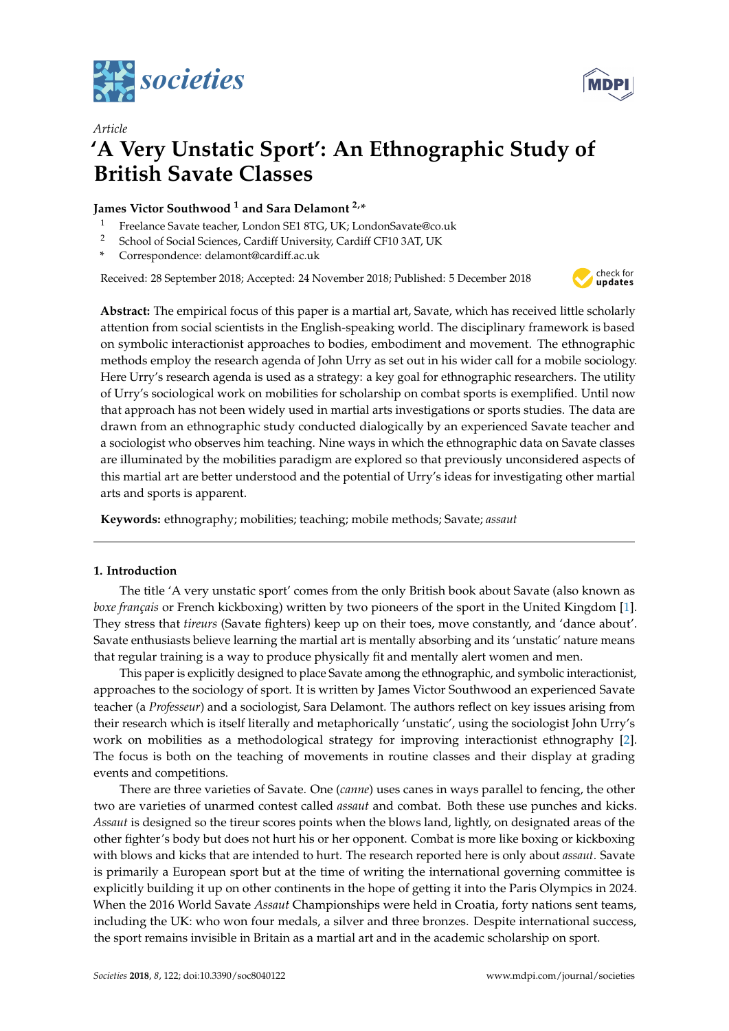



# *Article* **'A Very Unstatic Sport': An Ethnographic Study of British Savate Classes**

# **James Victor Southwood <sup>1</sup> and Sara Delamont 2,\***

- <sup>1</sup> Freelance Savate teacher, London SE1 8TG, UK; LondonSavate@co.uk<br><sup>2</sup> Sabaal of Saxial Saianasa, Cardiff University Cardiff CE10.2 AT JJK
- <sup>2</sup> School of Social Sciences, Cardiff University, Cardiff CF10 3AT, UK
- **\*** Correspondence: delamont@cardiff.ac.uk

Received: 28 September 2018; Accepted: 24 November 2018; Published: 5 December 2018



**Abstract:** The empirical focus of this paper is a martial art, Savate, which has received little scholarly attention from social scientists in the English-speaking world. The disciplinary framework is based on symbolic interactionist approaches to bodies, embodiment and movement. The ethnographic methods employ the research agenda of John Urry as set out in his wider call for a mobile sociology. Here Urry's research agenda is used as a strategy: a key goal for ethnographic researchers. The utility of Urry's sociological work on mobilities for scholarship on combat sports is exemplified. Until now that approach has not been widely used in martial arts investigations or sports studies. The data are drawn from an ethnographic study conducted dialogically by an experienced Savate teacher and a sociologist who observes him teaching. Nine ways in which the ethnographic data on Savate classes are illuminated by the mobilities paradigm are explored so that previously unconsidered aspects of this martial art are better understood and the potential of Urry's ideas for investigating other martial arts and sports is apparent.

**Keywords:** ethnography; mobilities; teaching; mobile methods; Savate; *assaut*

# **1. Introduction**

The title 'A very unstatic sport' comes from the only British book about Savate (also known as *boxe français* or French kickboxing) written by two pioneers of the sport in the United Kingdom [\[1\]](#page-12-0). They stress that *tireurs* (Savate fighters) keep up on their toes, move constantly, and 'dance about'. Savate enthusiasts believe learning the martial art is mentally absorbing and its 'unstatic' nature means that regular training is a way to produce physically fit and mentally alert women and men.

This paper is explicitly designed to place Savate among the ethnographic, and symbolic interactionist, approaches to the sociology of sport. It is written by James Victor Southwood an experienced Savate teacher (a *Professeur*) and a sociologist, Sara Delamont. The authors reflect on key issues arising from their research which is itself literally and metaphorically 'unstatic', using the sociologist John Urry's work on mobilities as a methodological strategy for improving interactionist ethnography [\[2\]](#page-12-1). The focus is both on the teaching of movements in routine classes and their display at grading events and competitions.

There are three varieties of Savate. One (*canne*) uses canes in ways parallel to fencing, the other two are varieties of unarmed contest called *assaut* and combat. Both these use punches and kicks. *Assaut* is designed so the tireur scores points when the blows land, lightly, on designated areas of the other fighter's body but does not hurt his or her opponent. Combat is more like boxing or kickboxing with blows and kicks that are intended to hurt. The research reported here is only about *assaut*. Savate is primarily a European sport but at the time of writing the international governing committee is explicitly building it up on other continents in the hope of getting it into the Paris Olympics in 2024. When the 2016 World Savate *Assaut* Championships were held in Croatia, forty nations sent teams, including the UK: who won four medals, a silver and three bronzes. Despite international success, the sport remains invisible in Britain as a martial art and in the academic scholarship on sport.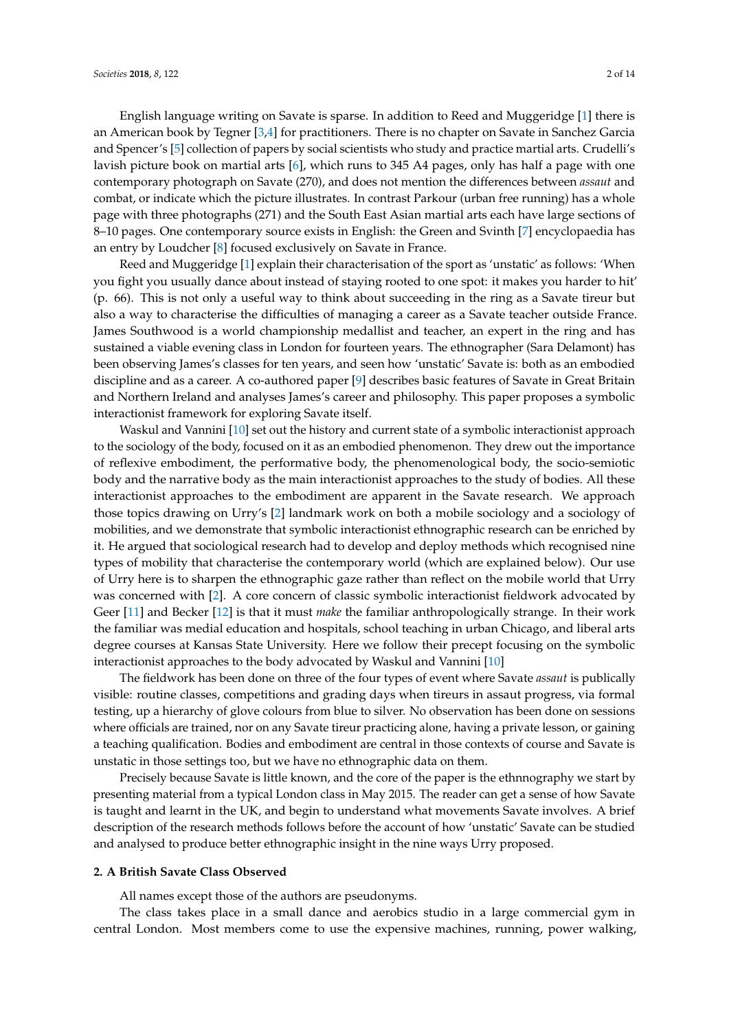English language writing on Savate is sparse. In addition to Reed and Muggeridge [\[1\]](#page-12-0) there is an American book by Tegner [\[3,](#page-12-2)[4\]](#page-12-3) for practitioners. There is no chapter on Savate in Sanchez Garcia and Spencer's [\[5\]](#page-12-4) collection of papers by social scientists who study and practice martial arts. Crudelli's lavish picture book on martial arts [\[6\]](#page-12-5), which runs to 345 A4 pages, only has half a page with one contemporary photograph on Savate (270), and does not mention the differences between *assaut* and combat, or indicate which the picture illustrates. In contrast Parkour (urban free running) has a whole page with three photographs (271) and the South East Asian martial arts each have large sections of 8–10 pages. One contemporary source exists in English: the Green and Svinth [\[7\]](#page-12-6) encyclopaedia has an entry by Loudcher [\[8\]](#page-13-0) focused exclusively on Savate in France.

Reed and Muggeridge [\[1\]](#page-12-0) explain their characterisation of the sport as 'unstatic' as follows: 'When you fight you usually dance about instead of staying rooted to one spot: it makes you harder to hit' (p. 66). This is not only a useful way to think about succeeding in the ring as a Savate tireur but also a way to characterise the difficulties of managing a career as a Savate teacher outside France. James Southwood is a world championship medallist and teacher, an expert in the ring and has sustained a viable evening class in London for fourteen years. The ethnographer (Sara Delamont) has been observing James's classes for ten years, and seen how 'unstatic' Savate is: both as an embodied discipline and as a career. A co-authored paper [\[9\]](#page-13-1) describes basic features of Savate in Great Britain and Northern Ireland and analyses James's career and philosophy. This paper proposes a symbolic interactionist framework for exploring Savate itself.

Waskul and Vannini [\[10\]](#page-13-2) set out the history and current state of a symbolic interactionist approach to the sociology of the body, focused on it as an embodied phenomenon. They drew out the importance of reflexive embodiment, the performative body, the phenomenological body, the socio-semiotic body and the narrative body as the main interactionist approaches to the study of bodies. All these interactionist approaches to the embodiment are apparent in the Savate research. We approach those topics drawing on Urry's [\[2\]](#page-12-1) landmark work on both a mobile sociology and a sociology of mobilities, and we demonstrate that symbolic interactionist ethnographic research can be enriched by it. He argued that sociological research had to develop and deploy methods which recognised nine types of mobility that characterise the contemporary world (which are explained below). Our use of Urry here is to sharpen the ethnographic gaze rather than reflect on the mobile world that Urry was concerned with [\[2\]](#page-12-1). A core concern of classic symbolic interactionist fieldwork advocated by Geer [\[11\]](#page-13-3) and Becker [\[12\]](#page-13-4) is that it must *make* the familiar anthropologically strange. In their work the familiar was medial education and hospitals, school teaching in urban Chicago, and liberal arts degree courses at Kansas State University. Here we follow their precept focusing on the symbolic interactionist approaches to the body advocated by Waskul and Vannini [\[10\]](#page-13-2)

The fieldwork has been done on three of the four types of event where Savate *assaut* is publically visible: routine classes, competitions and grading days when tireurs in assaut progress, via formal testing, up a hierarchy of glove colours from blue to silver. No observation has been done on sessions where officials are trained, nor on any Savate tireur practicing alone, having a private lesson, or gaining a teaching qualification. Bodies and embodiment are central in those contexts of course and Savate is unstatic in those settings too, but we have no ethnographic data on them.

Precisely because Savate is little known, and the core of the paper is the ethnnography we start by presenting material from a typical London class in May 2015. The reader can get a sense of how Savate is taught and learnt in the UK, and begin to understand what movements Savate involves. A brief description of the research methods follows before the account of how 'unstatic' Savate can be studied and analysed to produce better ethnographic insight in the nine ways Urry proposed.

#### **2. A British Savate Class Observed**

All names except those of the authors are pseudonyms.

The class takes place in a small dance and aerobics studio in a large commercial gym in central London. Most members come to use the expensive machines, running, power walking,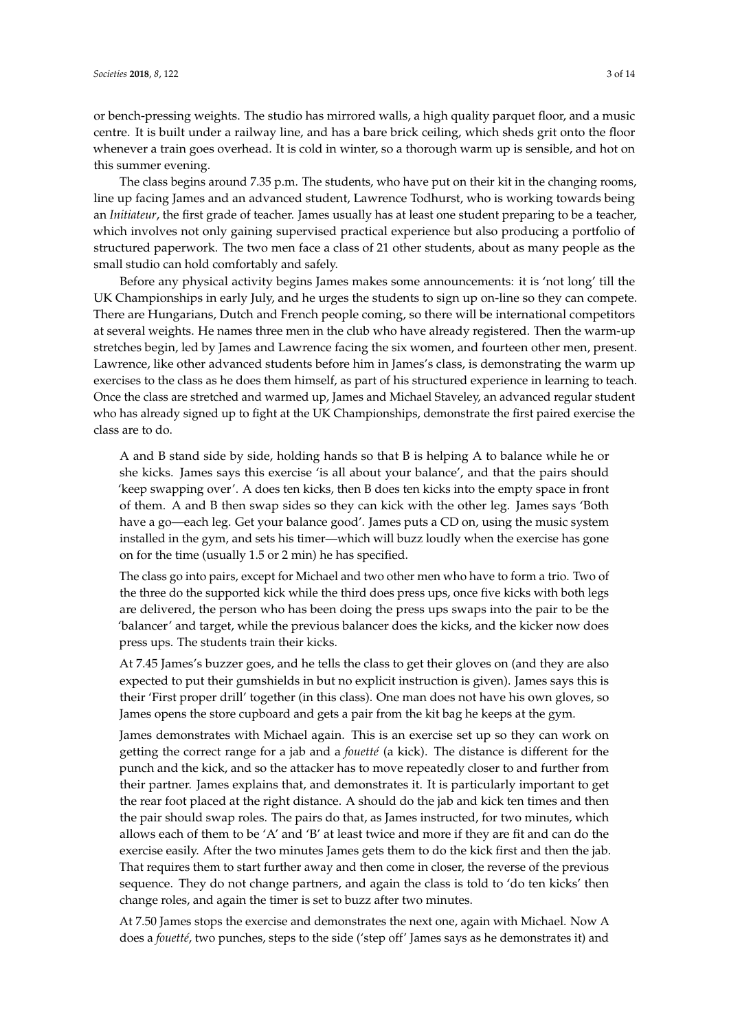or bench-pressing weights. The studio has mirrored walls, a high quality parquet floor, and a music centre. It is built under a railway line, and has a bare brick ceiling, which sheds grit onto the floor whenever a train goes overhead. It is cold in winter, so a thorough warm up is sensible, and hot on this summer evening.

The class begins around 7.35 p.m. The students, who have put on their kit in the changing rooms, line up facing James and an advanced student, Lawrence Todhurst, who is working towards being an *Initiateur*, the first grade of teacher. James usually has at least one student preparing to be a teacher, which involves not only gaining supervised practical experience but also producing a portfolio of structured paperwork. The two men face a class of 21 other students, about as many people as the small studio can hold comfortably and safely.

Before any physical activity begins James makes some announcements: it is 'not long' till the UK Championships in early July, and he urges the students to sign up on-line so they can compete. There are Hungarians, Dutch and French people coming, so there will be international competitors at several weights. He names three men in the club who have already registered. Then the warm-up stretches begin, led by James and Lawrence facing the six women, and fourteen other men, present. Lawrence, like other advanced students before him in James's class, is demonstrating the warm up exercises to the class as he does them himself, as part of his structured experience in learning to teach. Once the class are stretched and warmed up, James and Michael Staveley, an advanced regular student who has already signed up to fight at the UK Championships, demonstrate the first paired exercise the class are to do.

A and B stand side by side, holding hands so that B is helping A to balance while he or she kicks. James says this exercise 'is all about your balance', and that the pairs should 'keep swapping over'. A does ten kicks, then B does ten kicks into the empty space in front of them. A and B then swap sides so they can kick with the other leg. James says 'Both have a go—each leg. Get your balance good'. James puts a CD on, using the music system installed in the gym, and sets his timer—which will buzz loudly when the exercise has gone on for the time (usually 1.5 or 2 min) he has specified.

The class go into pairs, except for Michael and two other men who have to form a trio. Two of the three do the supported kick while the third does press ups, once five kicks with both legs are delivered, the person who has been doing the press ups swaps into the pair to be the 'balancer' and target, while the previous balancer does the kicks, and the kicker now does press ups. The students train their kicks.

At 7.45 James's buzzer goes, and he tells the class to get their gloves on (and they are also expected to put their gumshields in but no explicit instruction is given). James says this is their 'First proper drill' together (in this class). One man does not have his own gloves, so James opens the store cupboard and gets a pair from the kit bag he keeps at the gym.

James demonstrates with Michael again. This is an exercise set up so they can work on getting the correct range for a jab and a *fouetté* (a kick). The distance is different for the punch and the kick, and so the attacker has to move repeatedly closer to and further from their partner. James explains that, and demonstrates it. It is particularly important to get the rear foot placed at the right distance. A should do the jab and kick ten times and then the pair should swap roles. The pairs do that, as James instructed, for two minutes, which allows each of them to be 'A' and 'B' at least twice and more if they are fit and can do the exercise easily. After the two minutes James gets them to do the kick first and then the jab. That requires them to start further away and then come in closer, the reverse of the previous sequence. They do not change partners, and again the class is told to 'do ten kicks' then change roles, and again the timer is set to buzz after two minutes.

At 7.50 James stops the exercise and demonstrates the next one, again with Michael. Now A does a *fouetté*, two punches, steps to the side ('step off' James says as he demonstrates it) and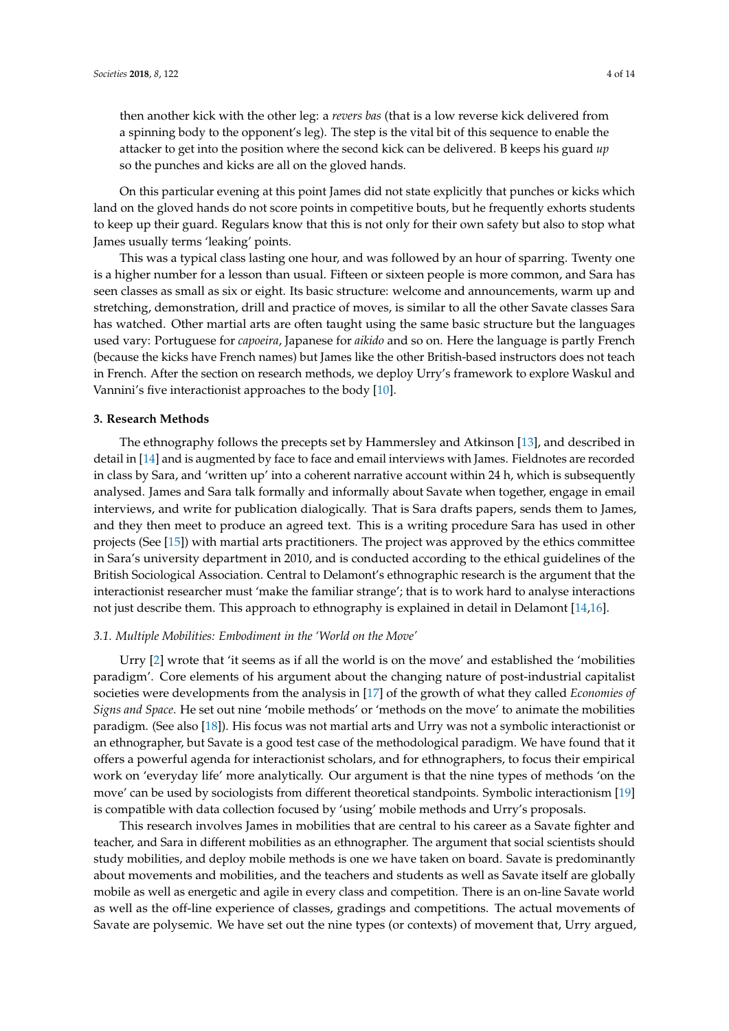then another kick with the other leg: a *revers bas* (that is a low reverse kick delivered from a spinning body to the opponent's leg). The step is the vital bit of this sequence to enable the attacker to get into the position where the second kick can be delivered. B keeps his guard *up* so the punches and kicks are all on the gloved hands.

On this particular evening at this point James did not state explicitly that punches or kicks which land on the gloved hands do not score points in competitive bouts, but he frequently exhorts students to keep up their guard. Regulars know that this is not only for their own safety but also to stop what James usually terms 'leaking' points.

This was a typical class lasting one hour, and was followed by an hour of sparring. Twenty one is a higher number for a lesson than usual. Fifteen or sixteen people is more common, and Sara has seen classes as small as six or eight. Its basic structure: welcome and announcements, warm up and stretching, demonstration, drill and practice of moves, is similar to all the other Savate classes Sara has watched. Other martial arts are often taught using the same basic structure but the languages used vary: Portuguese for *capoeira*, Japanese for *aikido* and so on. Here the language is partly French (because the kicks have French names) but James like the other British-based instructors does not teach in French. After the section on research methods, we deploy Urry's framework to explore Waskul and Vannini's five interactionist approaches to the body [\[10\]](#page-13-2).

#### **3. Research Methods**

The ethnography follows the precepts set by Hammersley and Atkinson [\[13\]](#page-13-5), and described in detail in [\[14\]](#page-13-6) and is augmented by face to face and email interviews with James. Fieldnotes are recorded in class by Sara, and 'written up' into a coherent narrative account within 24 h, which is subsequently analysed. James and Sara talk formally and informally about Savate when together, engage in email interviews, and write for publication dialogically. That is Sara drafts papers, sends them to James, and they then meet to produce an agreed text. This is a writing procedure Sara has used in other projects (See [\[15\]](#page-13-7)) with martial arts practitioners. The project was approved by the ethics committee in Sara's university department in 2010, and is conducted according to the ethical guidelines of the British Sociological Association. Central to Delamont's ethnographic research is the argument that the interactionist researcher must 'make the familiar strange'; that is to work hard to analyse interactions not just describe them. This approach to ethnography is explained in detail in Delamont [\[14,](#page-13-6)[16\]](#page-13-8).

### *3.1. Multiple Mobilities: Embodiment in the 'World on the Move'*

Urry [\[2\]](#page-12-1) wrote that 'it seems as if all the world is on the move' and established the 'mobilities paradigm'. Core elements of his argument about the changing nature of post-industrial capitalist societies were developments from the analysis in [\[17\]](#page-13-9) of the growth of what they called *Economies of Signs and Space*. He set out nine 'mobile methods' or 'methods on the move' to animate the mobilities paradigm. (See also [\[18\]](#page-13-10)). His focus was not martial arts and Urry was not a symbolic interactionist or an ethnographer, but Savate is a good test case of the methodological paradigm. We have found that it offers a powerful agenda for interactionist scholars, and for ethnographers, to focus their empirical work on 'everyday life' more analytically. Our argument is that the nine types of methods 'on the move' can be used by sociologists from different theoretical standpoints. Symbolic interactionism [\[19\]](#page-13-11) is compatible with data collection focused by 'using' mobile methods and Urry's proposals.

This research involves James in mobilities that are central to his career as a Savate fighter and teacher, and Sara in different mobilities as an ethnographer. The argument that social scientists should study mobilities, and deploy mobile methods is one we have taken on board. Savate is predominantly about movements and mobilities, and the teachers and students as well as Savate itself are globally mobile as well as energetic and agile in every class and competition. There is an on-line Savate world as well as the off-line experience of classes, gradings and competitions. The actual movements of Savate are polysemic. We have set out the nine types (or contexts) of movement that, Urry argued,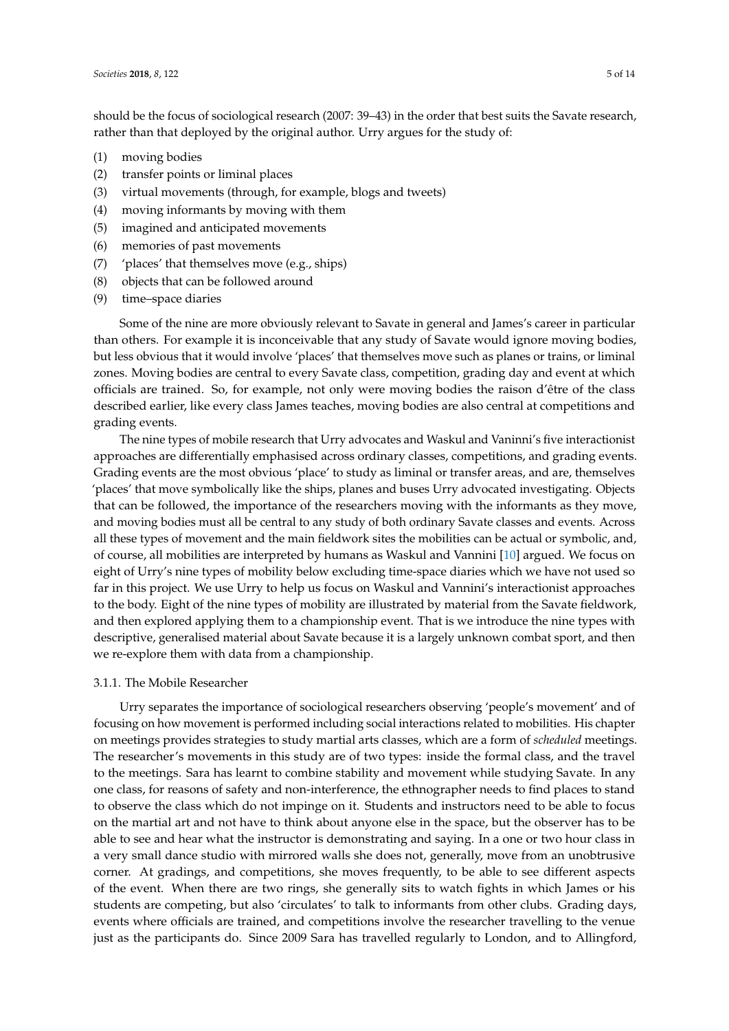should be the focus of sociological research (2007: 39–43) in the order that best suits the Savate research, rather than that deployed by the original author. Urry argues for the study of:

- (1) moving bodies
- (2) transfer points or liminal places
- (3) virtual movements (through, for example, blogs and tweets)
- (4) moving informants by moving with them
- (5) imagined and anticipated movements
- (6) memories of past movements
- (7) 'places' that themselves move (e.g., ships)
- (8) objects that can be followed around
- (9) time–space diaries

Some of the nine are more obviously relevant to Savate in general and James's career in particular than others. For example it is inconceivable that any study of Savate would ignore moving bodies, but less obvious that it would involve 'places' that themselves move such as planes or trains, or liminal zones. Moving bodies are central to every Savate class, competition, grading day and event at which officials are trained. So, for example, not only were moving bodies the raison d'être of the class described earlier, like every class James teaches, moving bodies are also central at competitions and grading events.

The nine types of mobile research that Urry advocates and Waskul and Vaninni's five interactionist approaches are differentially emphasised across ordinary classes, competitions, and grading events. Grading events are the most obvious 'place' to study as liminal or transfer areas, and are, themselves 'places' that move symbolically like the ships, planes and buses Urry advocated investigating. Objects that can be followed, the importance of the researchers moving with the informants as they move, and moving bodies must all be central to any study of both ordinary Savate classes and events. Across all these types of movement and the main fieldwork sites the mobilities can be actual or symbolic, and, of course, all mobilities are interpreted by humans as Waskul and Vannini [\[10\]](#page-13-2) argued. We focus on eight of Urry's nine types of mobility below excluding time-space diaries which we have not used so far in this project. We use Urry to help us focus on Waskul and Vannini's interactionist approaches to the body. Eight of the nine types of mobility are illustrated by material from the Savate fieldwork, and then explored applying them to a championship event. That is we introduce the nine types with descriptive, generalised material about Savate because it is a largely unknown combat sport, and then we re-explore them with data from a championship.

# 3.1.1. The Mobile Researcher

Urry separates the importance of sociological researchers observing 'people's movement' and of focusing on how movement is performed including social interactions related to mobilities. His chapter on meetings provides strategies to study martial arts classes, which are a form of *scheduled* meetings. The researcher's movements in this study are of two types: inside the formal class, and the travel to the meetings. Sara has learnt to combine stability and movement while studying Savate. In any one class, for reasons of safety and non-interference, the ethnographer needs to find places to stand to observe the class which do not impinge on it. Students and instructors need to be able to focus on the martial art and not have to think about anyone else in the space, but the observer has to be able to see and hear what the instructor is demonstrating and saying. In a one or two hour class in a very small dance studio with mirrored walls she does not, generally, move from an unobtrusive corner. At gradings, and competitions, she moves frequently, to be able to see different aspects of the event. When there are two rings, she generally sits to watch fights in which James or his students are competing, but also 'circulates' to talk to informants from other clubs. Grading days, events where officials are trained, and competitions involve the researcher travelling to the venue just as the participants do. Since 2009 Sara has travelled regularly to London, and to Allingford,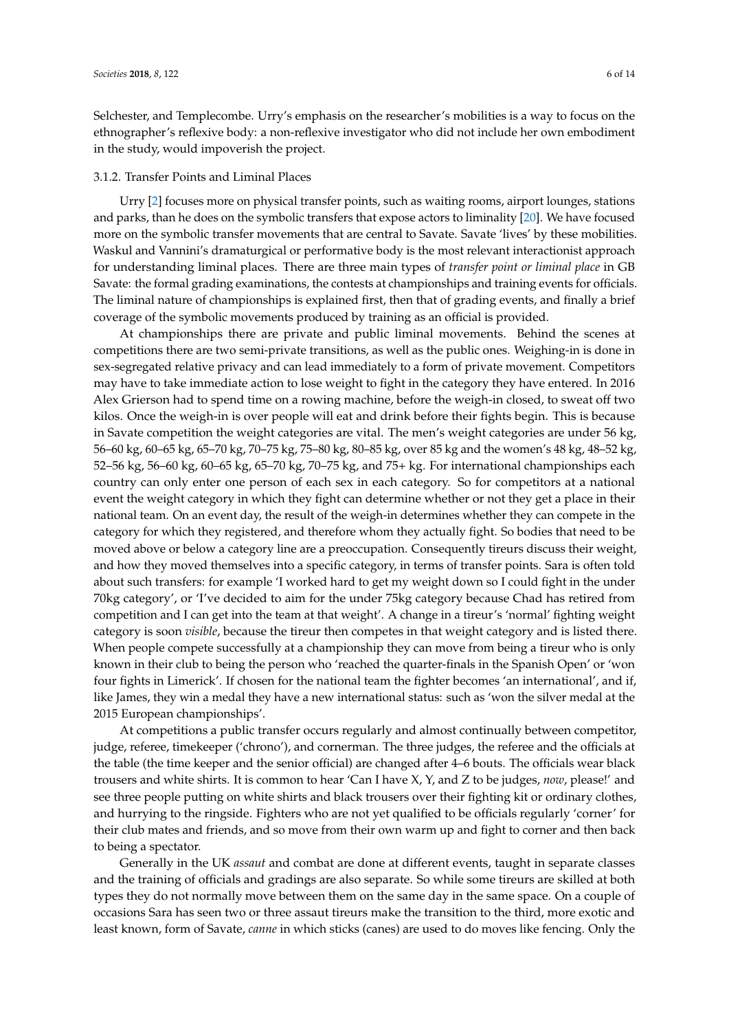Selchester, and Templecombe. Urry's emphasis on the researcher's mobilities is a way to focus on the ethnographer's reflexive body: a non-reflexive investigator who did not include her own embodiment in the study, would impoverish the project.

#### 3.1.2. Transfer Points and Liminal Places

Urry [\[2\]](#page-12-1) focuses more on physical transfer points, such as waiting rooms, airport lounges, stations and parks, than he does on the symbolic transfers that expose actors to liminality [\[20\]](#page-13-12). We have focused more on the symbolic transfer movements that are central to Savate. Savate 'lives' by these mobilities. Waskul and Vannini's dramaturgical or performative body is the most relevant interactionist approach for understanding liminal places. There are three main types of *transfer point or liminal place* in GB Savate: the formal grading examinations, the contests at championships and training events for officials. The liminal nature of championships is explained first, then that of grading events, and finally a brief coverage of the symbolic movements produced by training as an official is provided.

At championships there are private and public liminal movements. Behind the scenes at competitions there are two semi-private transitions, as well as the public ones. Weighing-in is done in sex-segregated relative privacy and can lead immediately to a form of private movement. Competitors may have to take immediate action to lose weight to fight in the category they have entered. In 2016 Alex Grierson had to spend time on a rowing machine, before the weigh-in closed, to sweat off two kilos. Once the weigh-in is over people will eat and drink before their fights begin. This is because in Savate competition the weight categories are vital. The men's weight categories are under 56 kg, 56–60 kg, 60–65 kg, 65–70 kg, 70–75 kg, 75–80 kg, 80–85 kg, over 85 kg and the women's 48 kg, 48–52 kg, 52–56 kg, 56–60 kg, 60–65 kg, 65–70 kg, 70–75 kg, and  $75+$  kg. For international championships each country can only enter one person of each sex in each category. So for competitors at a national event the weight category in which they fight can determine whether or not they get a place in their national team. On an event day, the result of the weigh-in determines whether they can compete in the category for which they registered, and therefore whom they actually fight. So bodies that need to be moved above or below a category line are a preoccupation. Consequently tireurs discuss their weight, and how they moved themselves into a specific category, in terms of transfer points. Sara is often told about such transfers: for example 'I worked hard to get my weight down so I could fight in the under 70kg category', or 'I've decided to aim for the under 75kg category because Chad has retired from competition and I can get into the team at that weight'. A change in a tireur's 'normal' fighting weight category is soon *visible*, because the tireur then competes in that weight category and is listed there. When people compete successfully at a championship they can move from being a tireur who is only known in their club to being the person who 'reached the quarter-finals in the Spanish Open' or 'won four fights in Limerick'. If chosen for the national team the fighter becomes 'an international', and if, like James, they win a medal they have a new international status: such as 'won the silver medal at the 2015 European championships'.

At competitions a public transfer occurs regularly and almost continually between competitor, judge, referee, timekeeper ('chrono'), and cornerman. The three judges, the referee and the officials at the table (the time keeper and the senior official) are changed after 4–6 bouts. The officials wear black trousers and white shirts. It is common to hear 'Can I have X, Y, and Z to be judges, *now*, please!' and see three people putting on white shirts and black trousers over their fighting kit or ordinary clothes, and hurrying to the ringside. Fighters who are not yet qualified to be officials regularly 'corner' for their club mates and friends, and so move from their own warm up and fight to corner and then back to being a spectator.

Generally in the UK *assaut* and combat are done at different events, taught in separate classes and the training of officials and gradings are also separate. So while some tireurs are skilled at both types they do not normally move between them on the same day in the same space. On a couple of occasions Sara has seen two or three assaut tireurs make the transition to the third, more exotic and least known, form of Savate, *canne* in which sticks (canes) are used to do moves like fencing. Only the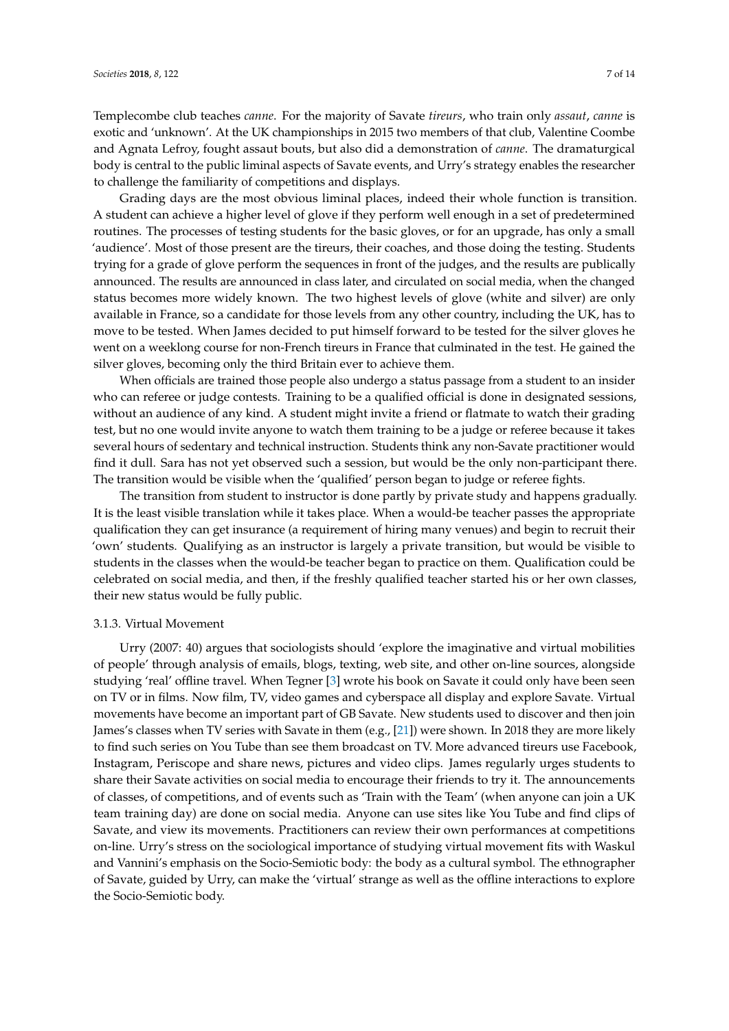Templecombe club teaches *canne*. For the majority of Savate *tireurs*, who train only *assaut*, *canne* is exotic and 'unknown'. At the UK championships in 2015 two members of that club, Valentine Coombe and Agnata Lefroy, fought assaut bouts, but also did a demonstration of *canne*. The dramaturgical body is central to the public liminal aspects of Savate events, and Urry's strategy enables the researcher to challenge the familiarity of competitions and displays.

Grading days are the most obvious liminal places, indeed their whole function is transition. A student can achieve a higher level of glove if they perform well enough in a set of predetermined routines. The processes of testing students for the basic gloves, or for an upgrade, has only a small 'audience'. Most of those present are the tireurs, their coaches, and those doing the testing. Students trying for a grade of glove perform the sequences in front of the judges, and the results are publically announced. The results are announced in class later, and circulated on social media, when the changed status becomes more widely known. The two highest levels of glove (white and silver) are only available in France, so a candidate for those levels from any other country, including the UK, has to move to be tested. When James decided to put himself forward to be tested for the silver gloves he went on a weeklong course for non-French tireurs in France that culminated in the test. He gained the silver gloves, becoming only the third Britain ever to achieve them.

When officials are trained those people also undergo a status passage from a student to an insider who can referee or judge contests. Training to be a qualified official is done in designated sessions, without an audience of any kind. A student might invite a friend or flatmate to watch their grading test, but no one would invite anyone to watch them training to be a judge or referee because it takes several hours of sedentary and technical instruction. Students think any non-Savate practitioner would find it dull. Sara has not yet observed such a session, but would be the only non-participant there. The transition would be visible when the 'qualified' person began to judge or referee fights.

The transition from student to instructor is done partly by private study and happens gradually. It is the least visible translation while it takes place. When a would-be teacher passes the appropriate qualification they can get insurance (a requirement of hiring many venues) and begin to recruit their 'own' students. Qualifying as an instructor is largely a private transition, but would be visible to students in the classes when the would-be teacher began to practice on them. Qualification could be celebrated on social media, and then, if the freshly qualified teacher started his or her own classes, their new status would be fully public.

# 3.1.3. Virtual Movement

Urry (2007: 40) argues that sociologists should 'explore the imaginative and virtual mobilities of people' through analysis of emails, blogs, texting, web site, and other on-line sources, alongside studying 'real' offline travel. When Tegner [\[3\]](#page-12-2) wrote his book on Savate it could only have been seen on TV or in films. Now film, TV, video games and cyberspace all display and explore Savate. Virtual movements have become an important part of GB Savate. New students used to discover and then join James's classes when TV series with Savate in them (e.g., [\[21\]](#page-13-13)) were shown. In 2018 they are more likely to find such series on You Tube than see them broadcast on TV. More advanced tireurs use Facebook, Instagram, Periscope and share news, pictures and video clips. James regularly urges students to share their Savate activities on social media to encourage their friends to try it. The announcements of classes, of competitions, and of events such as 'Train with the Team' (when anyone can join a UK team training day) are done on social media. Anyone can use sites like You Tube and find clips of Savate, and view its movements. Practitioners can review their own performances at competitions on-line. Urry's stress on the sociological importance of studying virtual movement fits with Waskul and Vannini's emphasis on the Socio-Semiotic body: the body as a cultural symbol. The ethnographer of Savate, guided by Urry, can make the 'virtual' strange as well as the offline interactions to explore the Socio-Semiotic body.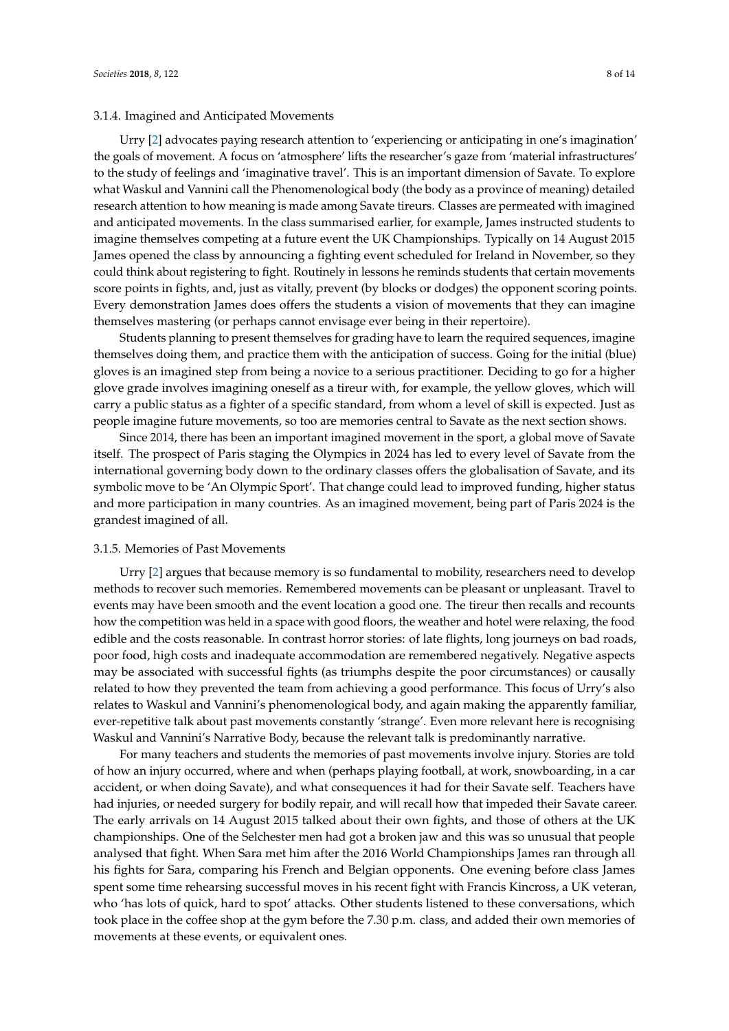# 3.1.4. Imagined and Anticipated Movements

Urry [\[2\]](#page-12-1) advocates paying research attention to 'experiencing or anticipating in one's imagination' the goals of movement. A focus on 'atmosphere' lifts the researcher's gaze from 'material infrastructures' to the study of feelings and 'imaginative travel'. This is an important dimension of Savate. To explore what Waskul and Vannini call the Phenomenological body (the body as a province of meaning) detailed research attention to how meaning is made among Savate tireurs. Classes are permeated with imagined and anticipated movements. In the class summarised earlier, for example, James instructed students to imagine themselves competing at a future event the UK Championships. Typically on 14 August 2015 James opened the class by announcing a fighting event scheduled for Ireland in November, so they could think about registering to fight. Routinely in lessons he reminds students that certain movements score points in fights, and, just as vitally, prevent (by blocks or dodges) the opponent scoring points. Every demonstration James does offers the students a vision of movements that they can imagine themselves mastering (or perhaps cannot envisage ever being in their repertoire).

Students planning to present themselves for grading have to learn the required sequences, imagine themselves doing them, and practice them with the anticipation of success. Going for the initial (blue) gloves is an imagined step from being a novice to a serious practitioner. Deciding to go for a higher glove grade involves imagining oneself as a tireur with, for example, the yellow gloves, which will carry a public status as a fighter of a specific standard, from whom a level of skill is expected. Just as people imagine future movements, so too are memories central to Savate as the next section shows.

Since 2014, there has been an important imagined movement in the sport, a global move of Savate itself. The prospect of Paris staging the Olympics in 2024 has led to every level of Savate from the international governing body down to the ordinary classes offers the globalisation of Savate, and its symbolic move to be 'An Olympic Sport'. That change could lead to improved funding, higher status and more participation in many countries. As an imagined movement, being part of Paris 2024 is the grandest imagined of all.

#### 3.1.5. Memories of Past Movements

Urry [\[2\]](#page-12-1) argues that because memory is so fundamental to mobility, researchers need to develop methods to recover such memories. Remembered movements can be pleasant or unpleasant. Travel to events may have been smooth and the event location a good one. The tireur then recalls and recounts how the competition was held in a space with good floors, the weather and hotel were relaxing, the food edible and the costs reasonable. In contrast horror stories: of late flights, long journeys on bad roads, poor food, high costs and inadequate accommodation are remembered negatively. Negative aspects may be associated with successful fights (as triumphs despite the poor circumstances) or causally related to how they prevented the team from achieving a good performance. This focus of Urry's also relates to Waskul and Vannini's phenomenological body, and again making the apparently familiar, ever-repetitive talk about past movements constantly 'strange'. Even more relevant here is recognising Waskul and Vannini's Narrative Body, because the relevant talk is predominantly narrative.

For many teachers and students the memories of past movements involve injury. Stories are told of how an injury occurred, where and when (perhaps playing football, at work, snowboarding, in a car accident, or when doing Savate), and what consequences it had for their Savate self. Teachers have had injuries, or needed surgery for bodily repair, and will recall how that impeded their Savate career. The early arrivals on 14 August 2015 talked about their own fights, and those of others at the UK championships. One of the Selchester men had got a broken jaw and this was so unusual that people analysed that fight. When Sara met him after the 2016 World Championships James ran through all his fights for Sara, comparing his French and Belgian opponents. One evening before class James spent some time rehearsing successful moves in his recent fight with Francis Kincross, a UK veteran, who 'has lots of quick, hard to spot' attacks. Other students listened to these conversations, which took place in the coffee shop at the gym before the 7.30 p.m. class, and added their own memories of movements at these events, or equivalent ones.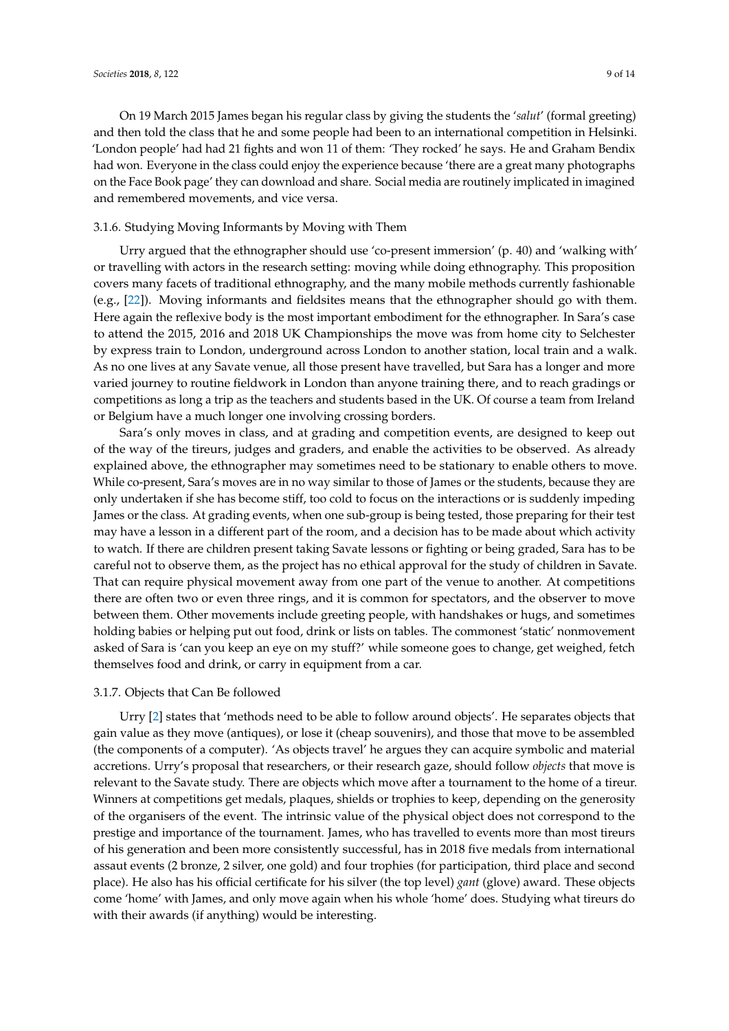On 19 March 2015 James began his regular class by giving the students the '*salut*' (formal greeting) and then told the class that he and some people had been to an international competition in Helsinki. 'London people' had had 21 fights and won 11 of them: 'They rocked' he says. He and Graham Bendix had won. Everyone in the class could enjoy the experience because 'there are a great many photographs on the Face Book page' they can download and share. Social media are routinely implicated in imagined and remembered movements, and vice versa.

#### 3.1.6. Studying Moving Informants by Moving with Them

Urry argued that the ethnographer should use 'co-present immersion' (p. 40) and 'walking with' or travelling with actors in the research setting: moving while doing ethnography. This proposition covers many facets of traditional ethnography, and the many mobile methods currently fashionable (e.g., [\[22\]](#page-13-14)). Moving informants and fieldsites means that the ethnographer should go with them. Here again the reflexive body is the most important embodiment for the ethnographer. In Sara's case to attend the 2015, 2016 and 2018 UK Championships the move was from home city to Selchester by express train to London, underground across London to another station, local train and a walk. As no one lives at any Savate venue, all those present have travelled, but Sara has a longer and more varied journey to routine fieldwork in London than anyone training there, and to reach gradings or competitions as long a trip as the teachers and students based in the UK. Of course a team from Ireland or Belgium have a much longer one involving crossing borders.

Sara's only moves in class, and at grading and competition events, are designed to keep out of the way of the tireurs, judges and graders, and enable the activities to be observed. As already explained above, the ethnographer may sometimes need to be stationary to enable others to move. While co-present, Sara's moves are in no way similar to those of James or the students, because they are only undertaken if she has become stiff, too cold to focus on the interactions or is suddenly impeding James or the class. At grading events, when one sub-group is being tested, those preparing for their test may have a lesson in a different part of the room, and a decision has to be made about which activity to watch. If there are children present taking Savate lessons or fighting or being graded, Sara has to be careful not to observe them, as the project has no ethical approval for the study of children in Savate. That can require physical movement away from one part of the venue to another. At competitions there are often two or even three rings, and it is common for spectators, and the observer to move between them. Other movements include greeting people, with handshakes or hugs, and sometimes holding babies or helping put out food, drink or lists on tables. The commonest 'static' nonmovement asked of Sara is 'can you keep an eye on my stuff?' while someone goes to change, get weighed, fetch themselves food and drink, or carry in equipment from a car.

#### 3.1.7. Objects that Can Be followed

Urry [\[2\]](#page-12-1) states that 'methods need to be able to follow around objects'. He separates objects that gain value as they move (antiques), or lose it (cheap souvenirs), and those that move to be assembled (the components of a computer). 'As objects travel' he argues they can acquire symbolic and material accretions. Urry's proposal that researchers, or their research gaze, should follow *objects* that move is relevant to the Savate study. There are objects which move after a tournament to the home of a tireur. Winners at competitions get medals, plaques, shields or trophies to keep, depending on the generosity of the organisers of the event. The intrinsic value of the physical object does not correspond to the prestige and importance of the tournament. James, who has travelled to events more than most tireurs of his generation and been more consistently successful, has in 2018 five medals from international assaut events (2 bronze, 2 silver, one gold) and four trophies (for participation, third place and second place). He also has his official certificate for his silver (the top level) *gant* (glove) award. These objects come 'home' with James, and only move again when his whole 'home' does. Studying what tireurs do with their awards (if anything) would be interesting.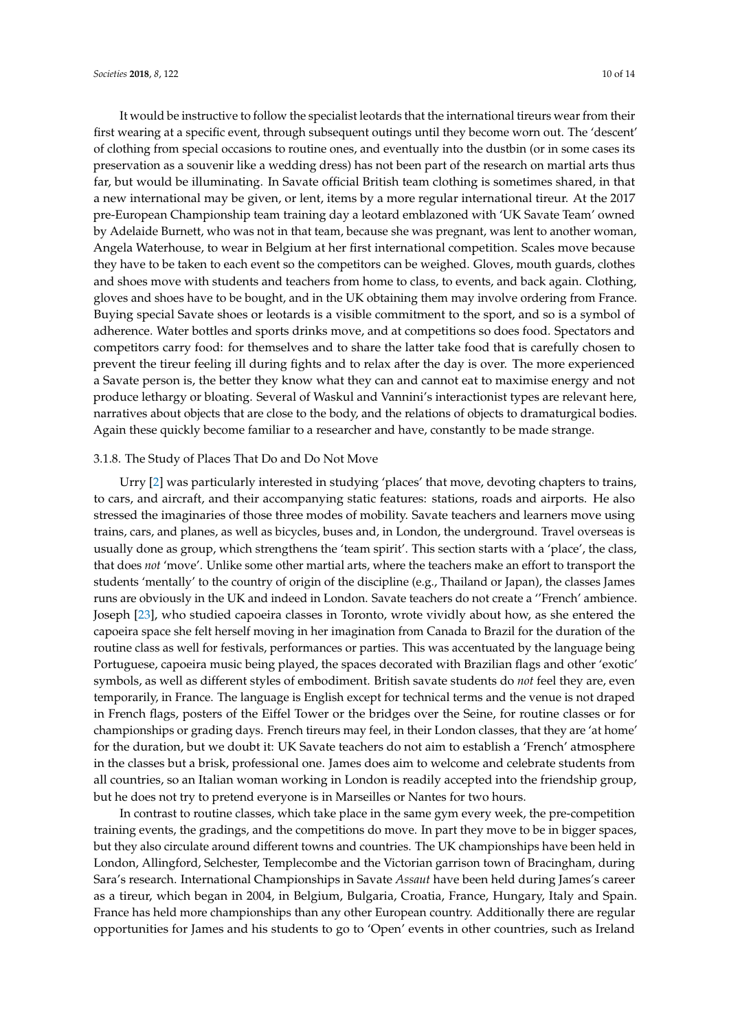It would be instructive to follow the specialist leotards that the international tireurs wear from their first wearing at a specific event, through subsequent outings until they become worn out. The 'descent' of clothing from special occasions to routine ones, and eventually into the dustbin (or in some cases its preservation as a souvenir like a wedding dress) has not been part of the research on martial arts thus far, but would be illuminating. In Savate official British team clothing is sometimes shared, in that a new international may be given, or lent, items by a more regular international tireur. At the 2017 pre-European Championship team training day a leotard emblazoned with 'UK Savate Team' owned by Adelaide Burnett, who was not in that team, because she was pregnant, was lent to another woman, Angela Waterhouse, to wear in Belgium at her first international competition. Scales move because they have to be taken to each event so the competitors can be weighed. Gloves, mouth guards, clothes and shoes move with students and teachers from home to class, to events, and back again. Clothing, gloves and shoes have to be bought, and in the UK obtaining them may involve ordering from France. Buying special Savate shoes or leotards is a visible commitment to the sport, and so is a symbol of adherence. Water bottles and sports drinks move, and at competitions so does food. Spectators and competitors carry food: for themselves and to share the latter take food that is carefully chosen to prevent the tireur feeling ill during fights and to relax after the day is over. The more experienced a Savate person is, the better they know what they can and cannot eat to maximise energy and not produce lethargy or bloating. Several of Waskul and Vannini's interactionist types are relevant here, narratives about objects that are close to the body, and the relations of objects to dramaturgical bodies. Again these quickly become familiar to a researcher and have, constantly to be made strange.

### 3.1.8. The Study of Places That Do and Do Not Move

Urry [\[2\]](#page-12-1) was particularly interested in studying 'places' that move, devoting chapters to trains, to cars, and aircraft, and their accompanying static features: stations, roads and airports. He also stressed the imaginaries of those three modes of mobility. Savate teachers and learners move using trains, cars, and planes, as well as bicycles, buses and, in London, the underground. Travel overseas is usually done as group, which strengthens the 'team spirit'. This section starts with a 'place', the class, that does *not* 'move'. Unlike some other martial arts, where the teachers make an effort to transport the students 'mentally' to the country of origin of the discipline (e.g., Thailand or Japan), the classes James runs are obviously in the UK and indeed in London. Savate teachers do not create a ''French' ambience. Joseph [\[23\]](#page-13-15), who studied capoeira classes in Toronto, wrote vividly about how, as she entered the capoeira space she felt herself moving in her imagination from Canada to Brazil for the duration of the routine class as well for festivals, performances or parties. This was accentuated by the language being Portuguese, capoeira music being played, the spaces decorated with Brazilian flags and other 'exotic' symbols, as well as different styles of embodiment. British savate students do *not* feel they are, even temporarily, in France. The language is English except for technical terms and the venue is not draped in French flags, posters of the Eiffel Tower or the bridges over the Seine, for routine classes or for championships or grading days. French tireurs may feel, in their London classes, that they are 'at home' for the duration, but we doubt it: UK Savate teachers do not aim to establish a 'French' atmosphere in the classes but a brisk, professional one. James does aim to welcome and celebrate students from all countries, so an Italian woman working in London is readily accepted into the friendship group, but he does not try to pretend everyone is in Marseilles or Nantes for two hours.

In contrast to routine classes, which take place in the same gym every week, the pre-competition training events, the gradings, and the competitions do move. In part they move to be in bigger spaces, but they also circulate around different towns and countries. The UK championships have been held in London, Allingford, Selchester, Templecombe and the Victorian garrison town of Bracingham, during Sara's research. International Championships in Savate *Assaut* have been held during James's career as a tireur, which began in 2004, in Belgium, Bulgaria, Croatia, France, Hungary, Italy and Spain. France has held more championships than any other European country. Additionally there are regular opportunities for James and his students to go to 'Open' events in other countries, such as Ireland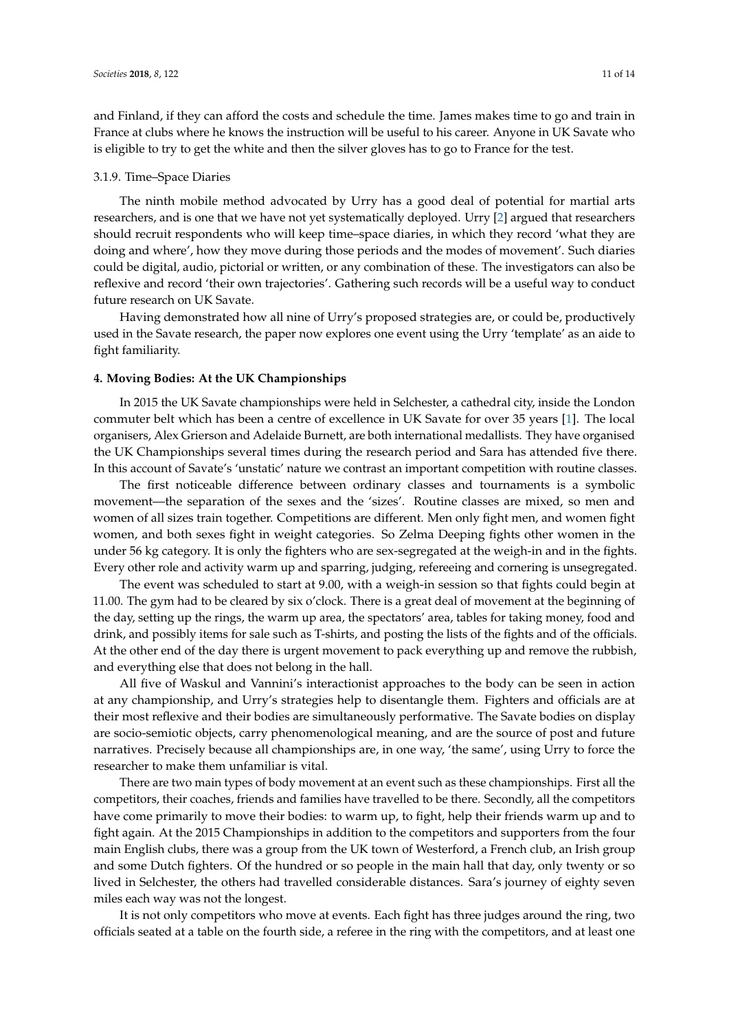and Finland, if they can afford the costs and schedule the time. James makes time to go and train in France at clubs where he knows the instruction will be useful to his career. Anyone in UK Savate who is eligible to try to get the white and then the silver gloves has to go to France for the test.

#### 3.1.9. Time–Space Diaries

The ninth mobile method advocated by Urry has a good deal of potential for martial arts researchers, and is one that we have not yet systematically deployed. Urry [\[2\]](#page-12-1) argued that researchers should recruit respondents who will keep time–space diaries, in which they record 'what they are doing and where', how they move during those periods and the modes of movement'. Such diaries could be digital, audio, pictorial or written, or any combination of these. The investigators can also be reflexive and record 'their own trajectories'. Gathering such records will be a useful way to conduct future research on UK Savate.

Having demonstrated how all nine of Urry's proposed strategies are, or could be, productively used in the Savate research, the paper now explores one event using the Urry 'template' as an aide to fight familiarity.

# **4. Moving Bodies: At the UK Championships**

In 2015 the UK Savate championships were held in Selchester, a cathedral city, inside the London commuter belt which has been a centre of excellence in UK Savate for over 35 years [\[1\]](#page-12-0). The local organisers, Alex Grierson and Adelaide Burnett, are both international medallists. They have organised the UK Championships several times during the research period and Sara has attended five there. In this account of Savate's 'unstatic' nature we contrast an important competition with routine classes.

The first noticeable difference between ordinary classes and tournaments is a symbolic movement—the separation of the sexes and the 'sizes'. Routine classes are mixed, so men and women of all sizes train together. Competitions are different. Men only fight men, and women fight women, and both sexes fight in weight categories. So Zelma Deeping fights other women in the under 56 kg category. It is only the fighters who are sex-segregated at the weigh-in and in the fights. Every other role and activity warm up and sparring, judging, refereeing and cornering is unsegregated.

The event was scheduled to start at 9.00, with a weigh-in session so that fights could begin at 11.00. The gym had to be cleared by six o'clock. There is a great deal of movement at the beginning of the day, setting up the rings, the warm up area, the spectators' area, tables for taking money, food and drink, and possibly items for sale such as T-shirts, and posting the lists of the fights and of the officials. At the other end of the day there is urgent movement to pack everything up and remove the rubbish, and everything else that does not belong in the hall.

All five of Waskul and Vannini's interactionist approaches to the body can be seen in action at any championship, and Urry's strategies help to disentangle them. Fighters and officials are at their most reflexive and their bodies are simultaneously performative. The Savate bodies on display are socio-semiotic objects, carry phenomenological meaning, and are the source of post and future narratives. Precisely because all championships are, in one way, 'the same', using Urry to force the researcher to make them unfamiliar is vital.

There are two main types of body movement at an event such as these championships. First all the competitors, their coaches, friends and families have travelled to be there. Secondly, all the competitors have come primarily to move their bodies: to warm up, to fight, help their friends warm up and to fight again. At the 2015 Championships in addition to the competitors and supporters from the four main English clubs, there was a group from the UK town of Westerford, a French club, an Irish group and some Dutch fighters. Of the hundred or so people in the main hall that day, only twenty or so lived in Selchester, the others had travelled considerable distances. Sara's journey of eighty seven miles each way was not the longest.

It is not only competitors who move at events. Each fight has three judges around the ring, two officials seated at a table on the fourth side, a referee in the ring with the competitors, and at least one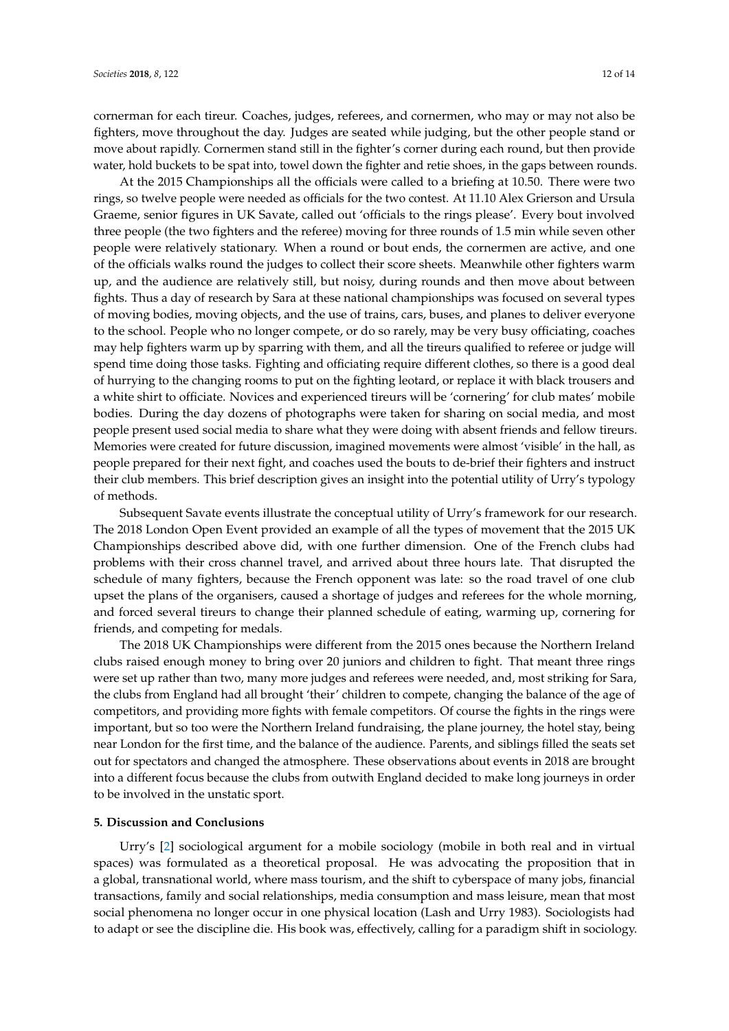cornerman for each tireur. Coaches, judges, referees, and cornermen, who may or may not also be fighters, move throughout the day. Judges are seated while judging, but the other people stand or move about rapidly. Cornermen stand still in the fighter's corner during each round, but then provide water, hold buckets to be spat into, towel down the fighter and retie shoes, in the gaps between rounds.

At the 2015 Championships all the officials were called to a briefing at 10.50. There were two rings, so twelve people were needed as officials for the two contest. At 11.10 Alex Grierson and Ursula Graeme, senior figures in UK Savate, called out 'officials to the rings please'. Every bout involved three people (the two fighters and the referee) moving for three rounds of 1.5 min while seven other people were relatively stationary. When a round or bout ends, the cornermen are active, and one of the officials walks round the judges to collect their score sheets. Meanwhile other fighters warm up, and the audience are relatively still, but noisy, during rounds and then move about between fights. Thus a day of research by Sara at these national championships was focused on several types of moving bodies, moving objects, and the use of trains, cars, buses, and planes to deliver everyone to the school. People who no longer compete, or do so rarely, may be very busy officiating, coaches may help fighters warm up by sparring with them, and all the tireurs qualified to referee or judge will spend time doing those tasks. Fighting and officiating require different clothes, so there is a good deal of hurrying to the changing rooms to put on the fighting leotard, or replace it with black trousers and a white shirt to officiate. Novices and experienced tireurs will be 'cornering' for club mates' mobile bodies. During the day dozens of photographs were taken for sharing on social media, and most people present used social media to share what they were doing with absent friends and fellow tireurs. Memories were created for future discussion, imagined movements were almost 'visible' in the hall, as people prepared for their next fight, and coaches used the bouts to de-brief their fighters and instruct their club members. This brief description gives an insight into the potential utility of Urry's typology of methods.

Subsequent Savate events illustrate the conceptual utility of Urry's framework for our research. The 2018 London Open Event provided an example of all the types of movement that the 2015 UK Championships described above did, with one further dimension. One of the French clubs had problems with their cross channel travel, and arrived about three hours late. That disrupted the schedule of many fighters, because the French opponent was late: so the road travel of one club upset the plans of the organisers, caused a shortage of judges and referees for the whole morning, and forced several tireurs to change their planned schedule of eating, warming up, cornering for friends, and competing for medals.

The 2018 UK Championships were different from the 2015 ones because the Northern Ireland clubs raised enough money to bring over 20 juniors and children to fight. That meant three rings were set up rather than two, many more judges and referees were needed, and, most striking for Sara, the clubs from England had all brought 'their' children to compete, changing the balance of the age of competitors, and providing more fights with female competitors. Of course the fights in the rings were important, but so too were the Northern Ireland fundraising, the plane journey, the hotel stay, being near London for the first time, and the balance of the audience. Parents, and siblings filled the seats set out for spectators and changed the atmosphere. These observations about events in 2018 are brought into a different focus because the clubs from outwith England decided to make long journeys in order to be involved in the unstatic sport.

# **5. Discussion and Conclusions**

Urry's [\[2\]](#page-12-1) sociological argument for a mobile sociology (mobile in both real and in virtual spaces) was formulated as a theoretical proposal. He was advocating the proposition that in a global, transnational world, where mass tourism, and the shift to cyberspace of many jobs, financial transactions, family and social relationships, media consumption and mass leisure, mean that most social phenomena no longer occur in one physical location (Lash and Urry 1983). Sociologists had to adapt or see the discipline die. His book was, effectively, calling for a paradigm shift in sociology.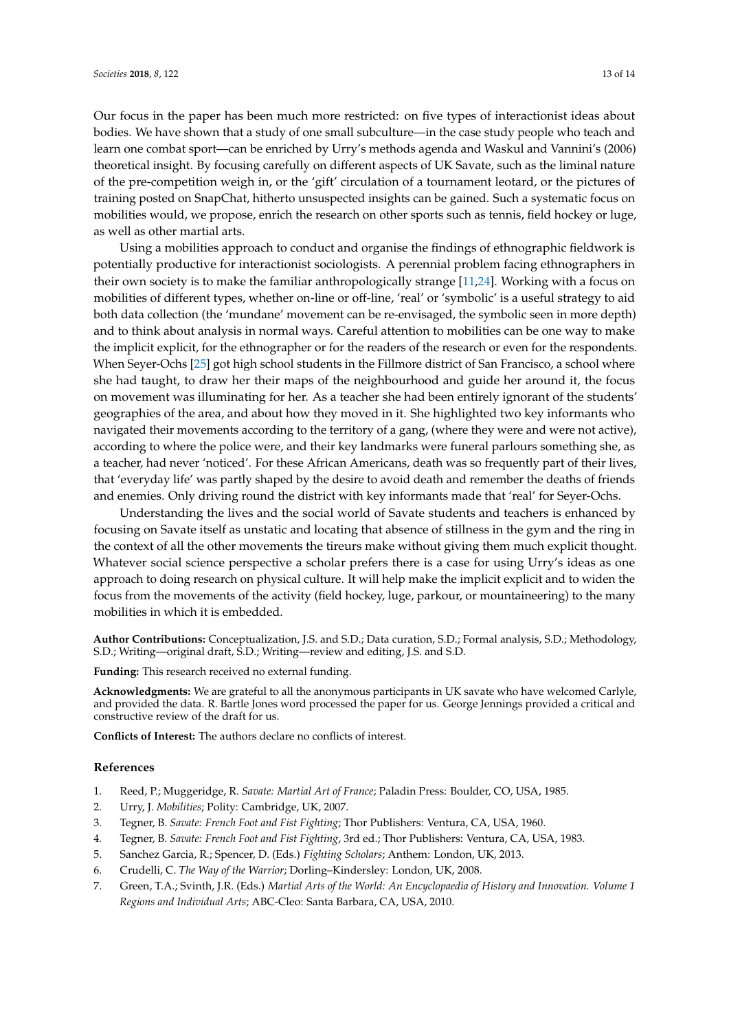Our focus in the paper has been much more restricted: on five types of interactionist ideas about bodies. We have shown that a study of one small subculture—in the case study people who teach and learn one combat sport—can be enriched by Urry's methods agenda and Waskul and Vannini's (2006) theoretical insight. By focusing carefully on different aspects of UK Savate, such as the liminal nature of the pre-competition weigh in, or the 'gift' circulation of a tournament leotard, or the pictures of training posted on SnapChat, hitherto unsuspected insights can be gained. Such a systematic focus on mobilities would, we propose, enrich the research on other sports such as tennis, field hockey or luge, as well as other martial arts.

Using a mobilities approach to conduct and organise the findings of ethnographic fieldwork is potentially productive for interactionist sociologists. A perennial problem facing ethnographers in their own society is to make the familiar anthropologically strange [\[11](#page-13-3)[,24\]](#page-13-16). Working with a focus on mobilities of different types, whether on-line or off-line, 'real' or 'symbolic' is a useful strategy to aid both data collection (the 'mundane' movement can be re-envisaged, the symbolic seen in more depth) and to think about analysis in normal ways. Careful attention to mobilities can be one way to make the implicit explicit, for the ethnographer or for the readers of the research or even for the respondents. When Seyer-Ochs [\[25\]](#page-13-17) got high school students in the Fillmore district of San Francisco, a school where she had taught, to draw her their maps of the neighbourhood and guide her around it, the focus on movement was illuminating for her. As a teacher she had been entirely ignorant of the students' geographies of the area, and about how they moved in it. She highlighted two key informants who navigated their movements according to the territory of a gang, (where they were and were not active), according to where the police were, and their key landmarks were funeral parlours something she, as a teacher, had never 'noticed'. For these African Americans, death was so frequently part of their lives, that 'everyday life' was partly shaped by the desire to avoid death and remember the deaths of friends and enemies. Only driving round the district with key informants made that 'real' for Seyer-Ochs.

Understanding the lives and the social world of Savate students and teachers is enhanced by focusing on Savate itself as unstatic and locating that absence of stillness in the gym and the ring in the context of all the other movements the tireurs make without giving them much explicit thought. Whatever social science perspective a scholar prefers there is a case for using Urry's ideas as one approach to doing research on physical culture. It will help make the implicit explicit and to widen the focus from the movements of the activity (field hockey, luge, parkour, or mountaineering) to the many mobilities in which it is embedded.

**Author Contributions:** Conceptualization, J.S. and S.D.; Data curation, S.D.; Formal analysis, S.D.; Methodology, S.D.; Writing—original draft, S.D.; Writing—review and editing, J.S. and S.D.

**Funding:** This research received no external funding.

**Acknowledgments:** We are grateful to all the anonymous participants in UK savate who have welcomed Carlyle, and provided the data. R. Bartle Jones word processed the paper for us. George Jennings provided a critical and constructive review of the draft for us.

**Conflicts of Interest:** The authors declare no conflicts of interest.

## **References**

- <span id="page-12-1"></span><span id="page-12-0"></span>1. Reed, P.; Muggeridge, R. *Savate: Martial Art of France*; Paladin Press: Boulder, CO, USA, 1985.
- 2. Urry, J. *Mobilities*; Polity: Cambridge, UK, 2007.
- <span id="page-12-2"></span>3. Tegner, B. *Savate: French Foot and Fist Fighting*; Thor Publishers: Ventura, CA, USA, 1960.
- <span id="page-12-3"></span>4. Tegner, B. *Savate: French Foot and Fist Fighting*, 3rd ed.; Thor Publishers: Ventura, CA, USA, 1983.
- <span id="page-12-4"></span>5. Sanchez Garcia, R.; Spencer, D. (Eds.) *Fighting Scholars*; Anthem: London, UK, 2013.
- <span id="page-12-5"></span>6. Crudelli, C. *The Way of the Warrior*; Dorling–Kindersley: London, UK, 2008.
- <span id="page-12-6"></span>7. Green, T.A.; Svinth, J.R. (Eds.) *Martial Arts of the World: An Encyclopaedia of History and Innovation. Volume 1 Regions and Individual Arts*; ABC-Cleo: Santa Barbara, CA, USA, 2010.